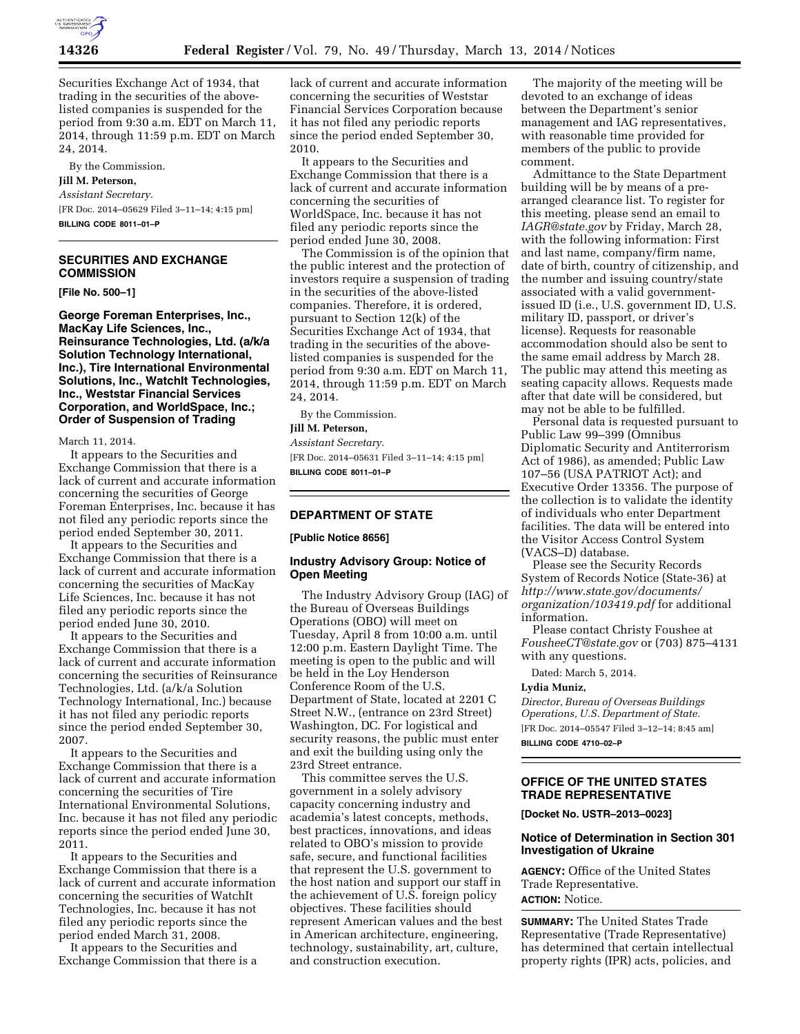

Securities Exchange Act of 1934, that trading in the securities of the abovelisted companies is suspended for the period from 9:30 a.m. EDT on March 11, 2014, through 11:59 p.m. EDT on March 24, 2014.

By the Commission.

### **Jill M. Peterson,**

*Assistant Secretary.*  [FR Doc. 2014–05629 Filed 3–11–14; 4:15 pm] **BILLING CODE 8011–01–P** 

# **SECURITIES AND EXCHANGE COMMISSION**

**[File No. 500–1]** 

**George Foreman Enterprises, Inc., MacKay Life Sciences, Inc., Reinsurance Technologies, Ltd. (a/k/a Solution Technology International, Inc.), Tire International Environmental Solutions, Inc., WatchIt Technologies, Inc., Weststar Financial Services Corporation, and WorldSpace, Inc.; Order of Suspension of Trading** 

March 11, 2014.

It appears to the Securities and Exchange Commission that there is a lack of current and accurate information concerning the securities of George Foreman Enterprises, Inc. because it has not filed any periodic reports since the period ended September 30, 2011.

It appears to the Securities and Exchange Commission that there is a lack of current and accurate information concerning the securities of MacKay Life Sciences, Inc. because it has not filed any periodic reports since the period ended June 30, 2010.

It appears to the Securities and Exchange Commission that there is a lack of current and accurate information concerning the securities of Reinsurance Technologies, Ltd. (a/k/a Solution Technology International, Inc.) because it has not filed any periodic reports since the period ended September 30, 2007.

It appears to the Securities and Exchange Commission that there is a lack of current and accurate information concerning the securities of Tire International Environmental Solutions, Inc. because it has not filed any periodic reports since the period ended June 30, 2011.

It appears to the Securities and Exchange Commission that there is a lack of current and accurate information concerning the securities of WatchIt Technologies, Inc. because it has not filed any periodic reports since the period ended March 31, 2008.

It appears to the Securities and Exchange Commission that there is a

lack of current and accurate information concerning the securities of Weststar Financial Services Corporation because it has not filed any periodic reports since the period ended September 30, 2010.

It appears to the Securities and Exchange Commission that there is a lack of current and accurate information concerning the securities of WorldSpace, Inc. because it has not filed any periodic reports since the period ended June 30, 2008.

The Commission is of the opinion that the public interest and the protection of investors require a suspension of trading in the securities of the above-listed companies. Therefore, it is ordered, pursuant to Section 12(k) of the Securities Exchange Act of 1934, that trading in the securities of the abovelisted companies is suspended for the period from 9:30 a.m. EDT on March 11, 2014, through 11:59 p.m. EDT on March 24, 2014.

By the Commission.

# **Jill M. Peterson,**

*Assistant Secretary.*  [FR Doc. 2014–05631 Filed 3–11–14; 4:15 pm] **BILLING CODE 8011–01–P** 

### **DEPARTMENT OF STATE**

**[Public Notice 8656]** 

### **Industry Advisory Group: Notice of Open Meeting**

The Industry Advisory Group (IAG) of the Bureau of Overseas Buildings Operations (OBO) will meet on Tuesday, April 8 from 10:00 a.m. until 12:00 p.m. Eastern Daylight Time. The meeting is open to the public and will be held in the Loy Henderson Conference Room of the U.S. Department of State, located at 2201 C Street N.W., (entrance on 23rd Street) Washington, DC. For logistical and security reasons, the public must enter and exit the building using only the 23rd Street entrance.

This committee serves the U.S. government in a solely advisory capacity concerning industry and academia's latest concepts, methods, best practices, innovations, and ideas related to OBO's mission to provide safe, secure, and functional facilities that represent the U.S. government to the host nation and support our staff in the achievement of U.S. foreign policy objectives. These facilities should represent American values and the best in American architecture, engineering, technology, sustainability, art, culture, and construction execution.

The majority of the meeting will be devoted to an exchange of ideas between the Department's senior management and IAG representatives, with reasonable time provided for members of the public to provide comment.

Admittance to the State Department building will be by means of a prearranged clearance list. To register for this meeting, please send an email to *[IAGR@state.gov](mailto:IAGR@state.gov)* by Friday, March 28, with the following information: First and last name, company/firm name, date of birth, country of citizenship, and the number and issuing country/state associated with a valid governmentissued ID (i.e., U.S. government ID, U.S. military ID, passport, or driver's license). Requests for reasonable accommodation should also be sent to the same email address by March 28. The public may attend this meeting as seating capacity allows. Requests made after that date will be considered, but may not be able to be fulfilled.

Personal data is requested pursuant to Public Law 99–399 (Omnibus Diplomatic Security and Antiterrorism Act of 1986), as amended; Public Law 107–56 (USA PATRIOT Act); and Executive Order 13356. The purpose of the collection is to validate the identity of individuals who enter Department facilities. The data will be entered into the Visitor Access Control System (VACS–D) database.

Please see the Security Records System of Records Notice (State-36) at *[http://www.state.gov/documents/](http://www.state.gov/documents/organization/103419.pdf) [organization/103419.pdf](http://www.state.gov/documents/organization/103419.pdf)* for additional information.

Please contact Christy Foushee at *[FousheeCT@state.gov](mailto:FousheeCT@state.gov)* or (703) 875–4131 with any questions.

Dated: March 5, 2014.

## **Lydia Muniz,**

*Director, Bureau of Overseas Buildings Operations, U.S. Department of State.*  [FR Doc. 2014–05547 Filed 3–12–14; 8:45 am] **BILLING CODE 4710–02–P** 

# **OFFICE OF THE UNITED STATES TRADE REPRESENTATIVE**

**[Docket No. USTR–2013–0023]** 

## **Notice of Determination in Section 301 Investigation of Ukraine**

**AGENCY:** Office of the United States Trade Representative. **ACTION:** Notice.

**SUMMARY:** The United States Trade Representative (Trade Representative) has determined that certain intellectual property rights (IPR) acts, policies, and